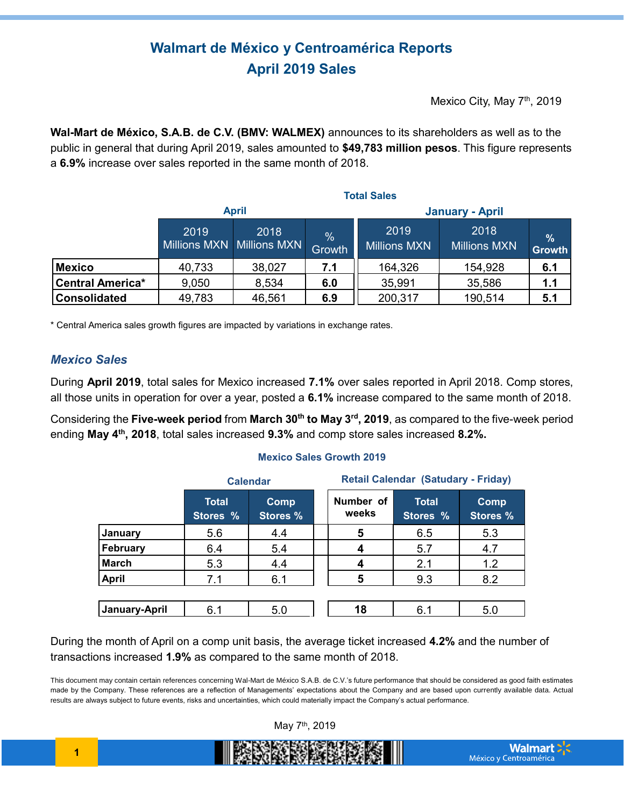# **Walmart de México y Centroamérica Reports April 2019 Sales**

Mexico City, May 7<sup>th</sup>, 2019

**Wal-Mart de México, S.A.B. de C.V. (BMV: WALMEX)** announces to its shareholders as well as to the public in general that during April 2019, sales amounted to **\$49,783 million pesos**. This figure represents a **6.9%** increase over sales reported in the same month of 2018.

|                         | <b>Total Sales</b>                |        |                         |                             |                             |                                |
|-------------------------|-----------------------------------|--------|-------------------------|-----------------------------|-----------------------------|--------------------------------|
|                         | <b>April</b>                      |        |                         | <b>January - April</b>      |                             |                                |
|                         | 2019<br>Millions MXN Millions MXN | 2018   | $\frac{0}{0}$<br>Growth | 2019<br><b>Millions MXN</b> | 2018<br><b>Millions MXN</b> | $\frac{9}{6}$<br><b>Growth</b> |
| <b>Mexico</b>           | 40,733                            | 38,027 | 7.1                     | 164,326                     | 154,928                     | 6.1                            |
| <b>Central America*</b> | 9,050                             | 8,534  | 6.0                     | 35,991                      | 35,586                      | 1.1                            |
| <b>Consolidated</b>     | 49,783                            | 46,561 | 6.9                     | 200,317                     | 190,514                     | 5.1                            |

\* Central America sales growth figures are impacted by variations in exchange rates.

### *Mexico Sales*

During **April 2019**, total sales for Mexico increased **7.1%** over sales reported in April 2018. Comp stores, all those units in operation for over a year, posted a **6.1%** increase compared to the same month of 2018.

Considering the **Five-week period** from **March 30th to May 3rd, 2019**, as compared to the five-week period ending **May 4th, 2018**, total sales increased **9.3%** and comp store sales increased **8.2%.**

#### **Mexico Sales Growth 2019**

|               | <b>Calendar</b>          |                         |  | <b>Retail Calendar (Satudary - Friday)</b> |                          |                         |  |
|---------------|--------------------------|-------------------------|--|--------------------------------------------|--------------------------|-------------------------|--|
|               | <b>Total</b><br>Stores % | Comp<br><b>Stores %</b> |  | Number of<br>weeks                         | <b>Total</b><br>Stores % | Comp<br><b>Stores %</b> |  |
| January       | 5.6                      | 4.4                     |  | 5                                          | 6.5                      | 5.3                     |  |
| February      | 6.4                      | 5.4                     |  | 4                                          | 5.7                      | 4.7                     |  |
| <b>March</b>  | 5.3                      | 4.4                     |  |                                            | 2.1                      | 1.2                     |  |
| <b>April</b>  | 7.1                      | 6.1                     |  | 5                                          | 9.3                      | 8.2                     |  |
|               |                          |                         |  |                                            |                          |                         |  |
| January-April | 6.1                      | 5.0                     |  | 18                                         | 6.1                      | 5.0                     |  |

During the month of April on a comp unit basis, the average ticket increased **4.2%** and the number of transactions increased **1.9%** as compared to the same month of 2018.

This document may contain certain references concerning Wal-Mart de México S.A.B. de C.V.'s future performance that should be considered as good faith estimates made by the Company. These references are a reflection of Managements' expectations about the Company and are based upon currently available data. Actual results are always subject to future events, risks and uncertainties, which could materially impact the Company's actual performance.



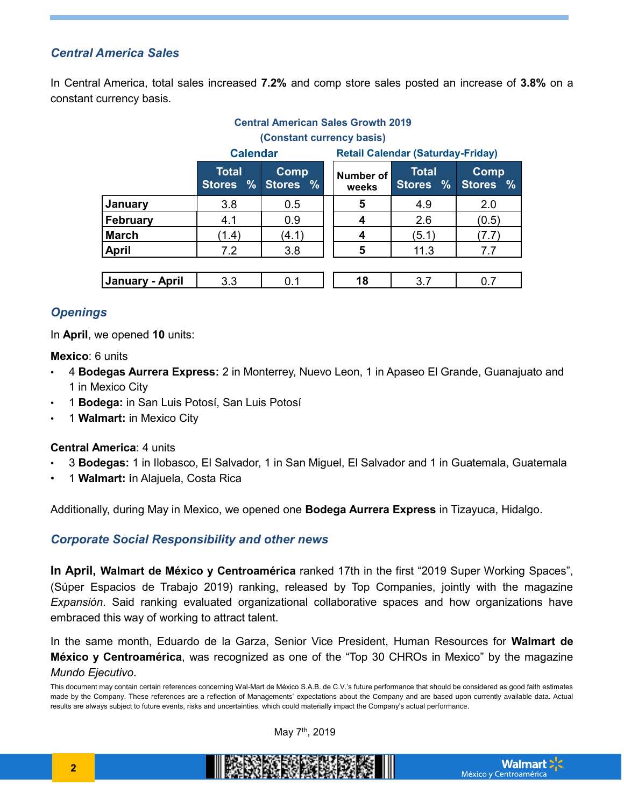## *Central America Sales*

In Central America, total sales increased **7.2%** and comp store sales posted an increase of **3.8%** on a constant currency basis.

|                           |                                                | <b>Central American Sales Growth 2019</b> |                                          |                          |                             |  |
|---------------------------|------------------------------------------------|-------------------------------------------|------------------------------------------|--------------------------|-----------------------------|--|
| (Constant currency basis) |                                                |                                           |                                          |                          |                             |  |
|                           | <b>Calendar</b>                                |                                           | <b>Retail Calendar (Saturday-Friday)</b> |                          |                             |  |
|                           | <b>Total</b><br>$\frac{9}{6}$<br><b>Stores</b> | <b>Comp</b><br>Stores %                   | Number of<br>weeks                       | <b>Total</b><br>Stores % | Comp<br>Stores <sub>%</sub> |  |
| January                   | 3.8                                            | 0.5                                       | 5                                        | 4.9                      | 2.0                         |  |
| <b>February</b>           | 4.1                                            | 0.9                                       | 4                                        | 2.6                      | (0.5)                       |  |
| <b>March</b>              | (1.4)                                          | (4.1)                                     | 4                                        | (5.1)                    | (7.7)                       |  |
| <b>April</b>              | 7.2                                            | 3.8                                       | 5                                        | 11.3                     | 7.7                         |  |
|                           |                                                |                                           |                                          |                          |                             |  |
| January - April           | 3.3                                            | 0.1                                       | 18                                       | 3.7                      | 0.7                         |  |

## *Openings*

In **April**, we opened **10** units:

**Mexico**: 6 units

- 4 **Bodegas Aurrera Express:** 2 in Monterrey, Nuevo Leon, 1 in Apaseo El Grande, Guanajuato and 1 in Mexico City
- 1 **Bodega:** in San Luis Potosí, San Luis Potosí
- 1 **Walmart:** in Mexico City

### **Central America**: 4 units

- 3 **Bodegas:** 1 in Ilobasco, El Salvador, 1 in San Miguel, El Salvador and 1 in Guatemala, Guatemala
- 1 **Walmart: i**n Alajuela, Costa Rica

Additionally, during May in Mexico, we opened one **Bodega Aurrera Express** in Tizayuca, Hidalgo.

## *Corporate Social Responsibility and other news*

**In April, Walmart de México y Centroamérica** ranked 17th in the first "2019 Super Working Spaces", (Súper Espacios de Trabajo 2019) ranking, released by Top Companies, jointly with the magazine *Expansión*. Said ranking evaluated organizational collaborative spaces and how organizations have embraced this way of working to attract talent.

In the same month, Eduardo de la Garza, Senior Vice President, Human Resources for **Walmart de México y Centroamérica**, was recognized as one of the "Top 30 CHROs in Mexico" by the magazine *Mundo Ejecutivo*.

May 7th, 2019

This document may contain certain references concerning Wal-Mart de México S.A.B. de C.V.'s future performance that should be considered as good faith estimates made by the Company. These references are a reflection of Managements' expectations about the Company and are based upon currently available data. Actual results are always subject to future events, risks and uncertainties, which could materially impact the Company's actual performance.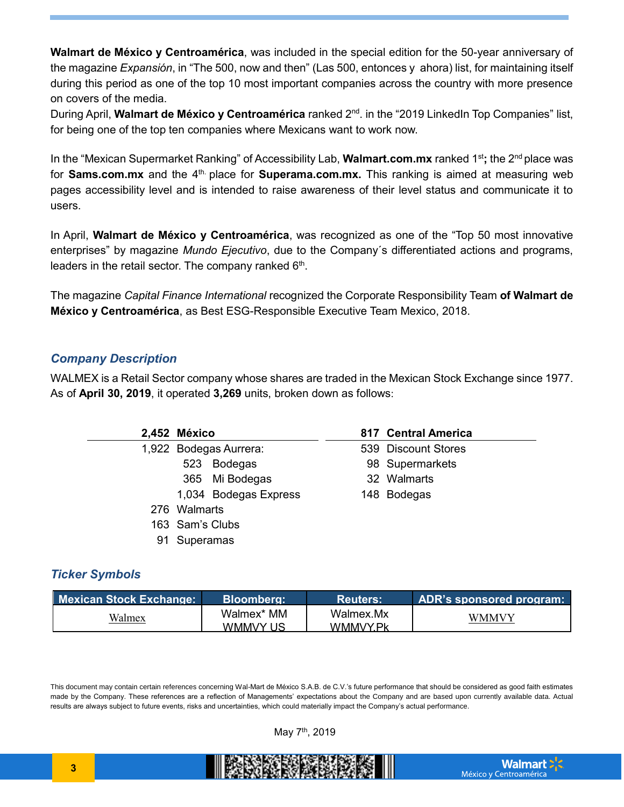**Walmart de México y Centroamérica**, was included in the special edition for the 50-year anniversary of the magazine *Expansión*, in "The 500, now and then" (Las 500, entonces y ahora) list, for maintaining itself during this period as one of the top 10 most important companies across the country with more presence on covers of the media.

During April, **Walmart de México y Centroamérica** ranked 2nd. in the "2019 LinkedIn Top Companies" list, for being one of the top ten companies where Mexicans want to work now.

In the "Mexican Supermarket Ranking" of Accessibility Lab, **Walmart.com.mx** ranked 1st**;** the 2nd place was for **Sams.com.mx** and the 4<sup>th</sup> place for **Superama.com.mx**. This ranking is aimed at measuring web pages accessibility level and is intended to raise awareness of their level status and communicate it to users.

In April, **Walmart de México y Centroamérica**, was recognized as one of the "Top 50 most innovative enterprises" by magazine *Mundo Ejecutivo*, due to the Company´s differentiated actions and programs, leaders in the retail sector. The company ranked  $6<sup>th</sup>$ .

The magazine *Capital Finance International* recognized the Corporate Responsibility Team **of Walmart de México y Centroamérica**, as Best ESG-Responsible Executive Team Mexico, 2018.

## *Company Description*

WALMEX is a Retail Sector company whose shares are traded in the Mexican Stock Exchange since 1977. As of **April 30, 2019**, it operated **3,269** units, broken down as follows:

## *Ticker Symbols*

| <b>Mexican Stock Exchange:</b> | Bloombera:             | <b>Reuters:</b>       | <b>ADR's sponsored program:</b> |
|--------------------------------|------------------------|-----------------------|---------------------------------|
| Walmex                         | Walmex* MM<br>WMMVY US | Walmex.Mx<br>WMMVY Pk | WMMVY                           |

This document may contain certain references concerning Wal-Mart de México S.A.B. de C.V.'s future performance that should be considered as good faith estimates made by the Company. These references are a reflection of Managements' expectations about the Company and are based upon currently available data. Actual results are always subject to future events, risks and uncertainties, which could materially impact the Company's actual performance.

May 7th, 2019

BRANCHER WAR